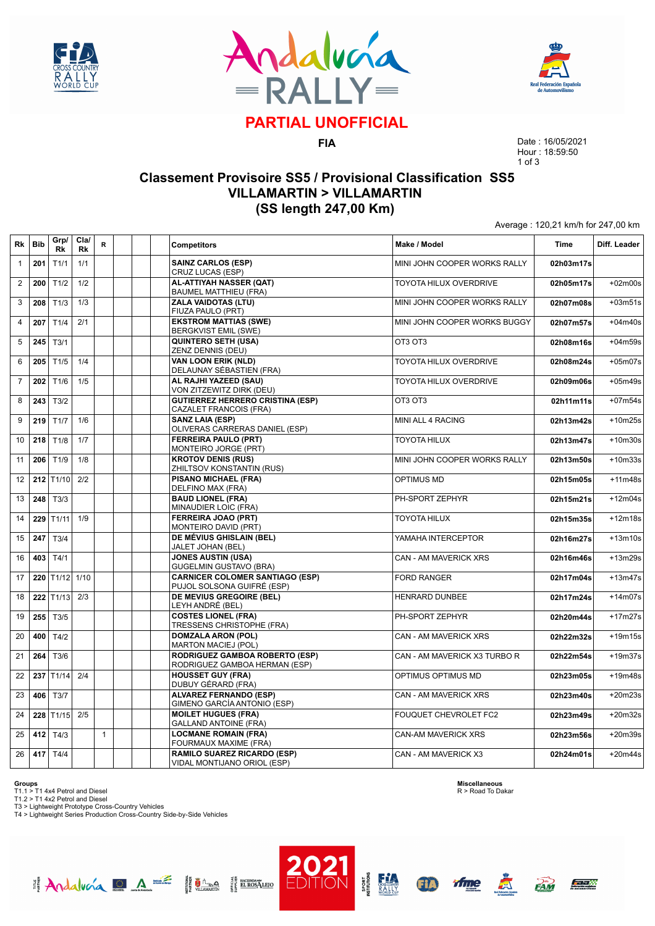





# **PARTIAL UNOFFICIAL**

**FIA**

Date : 16/05/2021 Hour : 18:59:50 1 of 3

Average : 120,21 km/h for 247,00 km

### **Classement Provisoire SS5 / Provisional Classification SS5 VILLAMARTIN > VILLAMARTIN (SS length 247,00 Km)**

| Rk             | <b>Bib</b> | Grp/<br>Rk  | Cla/<br>Rk | R            |  | <b>Competitors</b>                                                   | Make / Model                  | <b>Time</b> | Diff. Leader |
|----------------|------------|-------------|------------|--------------|--|----------------------------------------------------------------------|-------------------------------|-------------|--------------|
| $\mathbf{1}$   | 201        | T1/1        | 1/1        |              |  | <b>SAINZ CARLOS (ESP)</b><br>CRUZ LUCAS (ESP)                        | MINI JOHN COOPER WORKS RALLY  | 02h03m17s   |              |
| $\overline{2}$ | 200        | T1/2        | 1/2        |              |  | AL-ATTIYAH NASSER (QAT)<br><b>BAUMEL MATTHIEU (FRA)</b>              | TOYOTA HILUX OVERDRIVE        | 02h05m17s   | $+02m00s$    |
| 3              | 208        | T1/3        | 1/3        |              |  | <b>ZALA VAIDOTAS (LTU)</b><br>FIUZA PAULO (PRT)                      | MINI JOHN COOPER WORKS RALLY  | 02h07m08s   | $+03m51s$    |
| $\overline{4}$ | 207        | T1/4        | 2/1        |              |  | <b>EKSTROM MATTIAS (SWE)</b><br><b>BERGKVIST EMIL (SWE)</b>          | MINI JOHN COOPER WORKS BUGGY  | 02h07m57s   | $+04m40s$    |
| 5              | 245        | T3/1        |            |              |  | <b>QUINTERO SETH (USA)</b><br>ZENZ DENNIS (DEU)                      | OT3 OT3                       | 02h08m16s   | +04m59s      |
| 6              | 205        | T1/5        | 1/4        |              |  | <b>VAN LOON ERIK (NLD)</b><br>DELAUNAY SÉBASTIEN (FRA)               | TOYOTA HILUX OVERDRIVE        | 02h08m24s   | $+05m07s$    |
| $\overline{7}$ | 202        | T1/6        | 1/5        |              |  | AL RAJHI YAZEED (SAU)<br>VON ZITZEWITZ DIRK (DEU)                    | <b>TOYOTA HILUX OVERDRIVE</b> | 02h09m06s   | $+05m49s$    |
| 8              | 243        | T3/2        |            |              |  | <b>GUTIERREZ HERRERO CRISTINA (ESP)</b><br>CAZALET FRANCOIS (FRA)    | OT3 OT3                       | 02h11m11s   | $+07m54s$    |
| 9              | 219        | T1/7        | 1/6        |              |  | <b>SANZ LAIA (ESP)</b><br>OLIVERAS CARRERAS DANIEL (ESP)             | <b>MINI ALL 4 RACING</b>      | 02h13m42s   | $+10m25s$    |
| 10             | 218        | T1/8        | 1/7        |              |  | <b>FERREIRA PAULO (PRT)</b><br>MONTEIRO JORGE (PRT)                  | <b>TOYOTA HILUX</b>           | 02h13m47s   | $+10m30s$    |
| 11             | 206        | T1/9        | 1/8        |              |  | <b>KROTOV DENIS (RUS)</b><br>ZHILTSOV KONSTANTIN (RUS)               | MINI JOHN COOPER WORKS RALLY  | 02h13m50s   | $+10m33s$    |
| 12             |            | 212 $T1/10$ | 2/2        |              |  | <b>PISANO MICHAEL (FRA)</b><br>DELFINO MAX (FRA)                     | <b>OPTIMUS MD</b>             | 02h15m05s   | $+11m48s$    |
| 13             | 248        | T3/3        |            |              |  | <b>BAUD LIONEL (FRA)</b><br>MINAUDIER LOIC (FRA)                     | PH-SPORT ZEPHYR               | 02h15m21s   | $+12m04s$    |
| 14             | 229        | T1/11       | 1/9        |              |  | <b>FERREIRA JOAO (PRT)</b><br>MONTEIRO DAVID (PRT)                   | <b>TOYOTA HILUX</b>           | 02h15m35s   | $+12m18s$    |
| 15             | 247        | T3/4        |            |              |  | DE MÉVIUS GHISLAIN (BEL)<br><b>JALET JOHAN (BEL)</b>                 | YAMAHA INTERCEPTOR            | 02h16m27s   | $+13m10s$    |
| 16             | 403        | T4/1        |            |              |  | <b>JONES AUSTIN (USA)</b><br><b>GUGELMIN GUSTAVO (BRA)</b>           | CAN - AM MAVERICK XRS         | 02h16m46s   | $+13m29s$    |
| 17             | 220        | T1/12 1/10  |            |              |  | <b>CARNICER COLOMER SANTIAGO (ESP)</b><br>PUJOL SOLSONA GUIFRÉ (ESP) | <b>FORD RANGER</b>            | 02h17m04s   | $+13m47s$    |
| 18             | 222        | T1/13       | 2/3        |              |  | <b>DE MEVIUS GREGOIRE (BEL)</b><br>LEYH ANDRÉ (BEL)                  | <b>HENRARD DUNBEE</b>         | 02h17m24s   | $+14m07s$    |
| 19             | 255        | T3/5        |            |              |  | <b>COSTES LIONEL (FRA)</b><br>TRESSENS CHRISTOPHE (FRA)              | PH-SPORT ZEPHYR               | 02h20m44s   | $+17m27s$    |
| 20             | 400        | T4/2        |            |              |  | <b>DOMZALA ARON (POL)</b><br><b>MARTON MACIEJ (POL)</b>              | <b>CAN - AM MAVERICK XRS</b>  | 02h22m32s   | $+19m15s$    |
| 21             | 264        | T3/6        |            |              |  | RODRIGUEZ GAMBOA ROBERTO (ESP)<br>RODRIGUEZ GAMBOA HERMAN (ESP)      | CAN - AM MAVERICK X3 TURBO R  | 02h22m54s   | $+19m37s$    |
| 22             | 237        | T1/14       | 2/4        |              |  | <b>HOUSSET GUY (FRA)</b><br>DUBUY GÉRARD (FRA)                       | OPTIMUS OPTIMUS MD            | 02h23m05s   | $+19m48s$    |
| 23             | 406        | T3/7        |            |              |  | <b>ALVAREZ FERNANDO (ESP)</b><br>GIMENO GARCÍA ANTONIO (ESP)         | <b>CAN - AM MAVERICK XRS</b>  | 02h23m40s   | $+20m23s$    |
| 24             | 228        | T1/15       | 2/5        |              |  | <b>MOILET HUGUES (FRA)</b><br><b>GALLAND ANTOINE (FRA)</b>           | FOUQUET CHEVROLET FC2         | 02h23m49s   | $+20m32s$    |
| 25             | 412        | T4/3        |            | $\mathbf{1}$ |  | <b>LOCMANE ROMAIN (FRA)</b><br>FOURMAUX MAXIME (FRA)                 | <b>CAN-AM MAVERICK XRS</b>    | 02h23m56s   | $+20m39s$    |
| 26             | 417        | T4/4        |            |              |  | <b>RAMILO SUAREZ RICARDO (ESP)</b><br>VIDAL MONTIJANO ORIOL (ESP)    | CAN - AM MAVERICK X3          | 02h24m01s   | $+20m44s$    |

**Groups**<br>T1.1 > T1 4x4 Petrol and Diesel<br>T1.2 > T1 4x2 Petrol and Diesel<br>T3 > Lightweight Prototype Cross-Country Vehicles<br>T4 > Lightweight Series Production Cross-Country Side-by-Side Vehicles

Andalucía DA E Haman Hancographeno

**Miscellaneous** R > Road To Dakar

**A** 

<u>Farik</u>

**FAM** 

ifme

**ED** 

**PORT**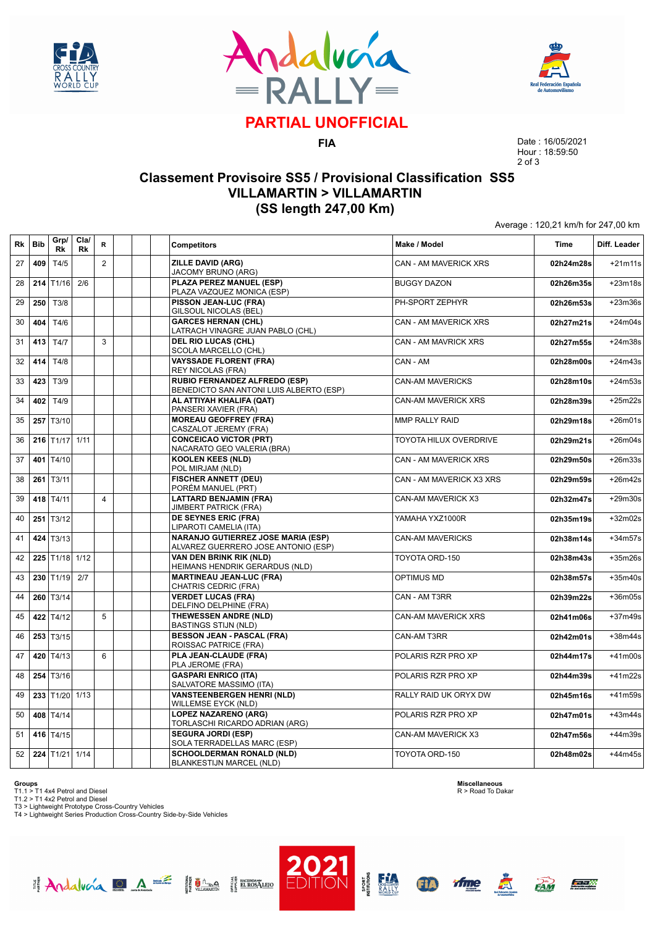





# **PARTIAL UNOFFICIAL**

**FIA**

Date : 16/05/2021 Hour : 18:59:50 2 of 3

Average : 120,21 km/h for 247,00 km

### **Classement Provisoire SS5 / Provisional Classification SS5 VILLAMARTIN > VILLAMARTIN (SS length 247,00 Km)**

| <b>Rk</b> | <b>Bib</b> | Grp/<br>Rk                 | Cla/<br>Rk | R              | <b>Competitors</b>                                                               | Make / Model               | <b>Time</b> | Diff. Leader |
|-----------|------------|----------------------------|------------|----------------|----------------------------------------------------------------------------------|----------------------------|-------------|--------------|
| 27        | 409        | T4/5                       |            | $\overline{2}$ | <b>ZILLE DAVID (ARG)</b><br>JACOMY BRUNO (ARG)                                   | CAN - AM MAVERICK XRS      | 02h24m28s   | $+21m11s$    |
| 28        | 214        | T1/16                      | 2/6        |                | PLAZA PEREZ MANUEL (ESP)<br>PLAZA VAZQUEZ MONICA (ESP)                           | <b>BUGGY DAZON</b>         | 02h26m35s   | $+23m18s$    |
| 29        | 250        | T3/8                       |            |                | PISSON JEAN-LUC (FRA)<br>GILSOUL NICOLAS (BEL)                                   | PH-SPORT ZEPHYR            | 02h26m53s   | $+23m36s$    |
| 30        | 404        | T4/6                       |            |                | <b>GARCES HERNAN (CHL)</b><br>LATRACH VINAGRE JUAN PABLO (CHL)                   | CAN - AM MAVERICK XRS      | 02h27m21s   | $+24m04s$    |
| 31        | 413        | T4/7                       |            | 3              | <b>DEL RIO LUCAS (CHL)</b><br><b>SCOLA MARCELLO (CHL)</b>                        | CAN - AM MAVRICK XRS       | 02h27m55s   | $+24m38s$    |
| 32        | 414        | T4/8                       |            |                | <b>VAYSSADE FLORENT (FRA)</b><br><b>REY NICOLAS (FRA)</b>                        | CAN - AM                   | 02h28m00s   | $+24m43s$    |
| 33        | 423        | T3/9                       |            |                | RUBIO FERNANDEZ ALFREDO (ESP)<br>BENEDICTO SAN ANTONI LUIS ALBERTO (ESP)         | <b>CAN-AM MAVERICKS</b>    | 02h28m10s   | $+24m53s$    |
| 34        | 402        | T4/9                       |            |                | AL ATTIYAH KHALIFA (QAT)<br>PANSERI XAVIER (FRA)                                 | <b>CAN-AM MAVERICK XRS</b> | 02h28m39s   | $+25m22s$    |
| 35        | 257        | T3/10                      |            |                | <b>MOREAU GEOFFREY (FRA)</b><br>CASZALOT JEREMY (FRA)                            | <b>MMP RALLY RAID</b>      | 02h29m18s   | $+26m01s$    |
| 36        |            | $216$ T1/17 1/11           |            |                | <b>CONCEICAO VICTOR (PRT)</b><br>NACARATO GEO VALERIA (BRA)                      | TOYOTA HILUX OVERDRIVE     | 02h29m21s   | $+26m04s$    |
| 37        | 401        | T4/10                      |            |                | <b>KOOLEN KEES (NLD)</b><br>POL MIRJAM (NLD)                                     | CAN - AM MAVERICK XRS      | 02h29m50s   | $+26m33s$    |
| 38        | 261        | T3/11                      |            |                | <b>FISCHER ANNETT (DEU)</b><br>PORÉM MANUEL (PRT)                                | CAN - AM MAVERICK X3 XRS   | 02h29m59s   | $+26m42s$    |
| 39        |            | 418 $T4/11$                |            | $\overline{4}$ | <b>LATTARD BENJAMIN (FRA)</b><br><b>JIMBERT PATRICK (FRA)</b>                    | <b>CAN-AM MAVERICK X3</b>  | 02h32m47s   | $+29m30s$    |
| 40        | 251        | T3/12                      |            |                | DE SEYNES ERIC (FRA)<br>LIPAROTI CAMELIA (ITA)                                   | YAMAHA YXZ1000R            | 02h35m19s   | $+32m02s$    |
| 41        | 424        | T3/13                      |            |                | <b>NARANJO GUTIERREZ JOSE MARIA (ESP)</b><br>ALVAREZ GUERRERO JOSE ANTONIO (ESP) | <b>CAN-AM MAVERICKS</b>    | 02h38m14s   | $+34m57s$    |
| 42        |            | 225 T <sub>1/18</sub> 1/12 |            |                | VAN DEN BRINK RIK (NLD)<br>HEIMANS HENDRIK GERARDUS (NLD)                        | TOYOTA ORD-150             | 02h38m43s   | $+35m26s$    |
| 43        | 230        | T1/19                      | 2/7        |                | <b>MARTINEAU JEAN-LUC (FRA)</b><br>CHATRIS CEDRIC (FRA)                          | <b>OPTIMUS MD</b>          | 02h38m57s   | $+35m40s$    |
| 44        | 260        | T3/14                      |            |                | <b>VERDET LUCAS (FRA)</b><br>DELFINO DELPHINE (FRA)                              | CAN - AM T3RR              | 02h39m22s   | $+36m05s$    |
| 45        | 422        | T4/12                      |            | 5              | THEWESSEN ANDRE (NLD)<br><b>BASTINGS STIJN (NLD)</b>                             | CAN-AM MAVERICK XRS        | 02h41m06s   | $+37m49s$    |
| 46        | 253        | T3/15                      |            |                | <b>BESSON JEAN - PASCAL (FRA)</b><br>ROISSAC PATRICE (FRA)                       | CAN-AM T3RR                | 02h42m01s   | +38m44s      |
| 47        |            | 420 T4/13                  |            | 6              | PLA JEAN-CLAUDE (FRA)<br>PLA JEROME (FRA)                                        | POLARIS RZR PRO XP         | 02h44m17s   | $+41m00s$    |
| 48        | 254        | T3/16                      |            |                | <b>GASPARI ENRICO (ITA)</b><br>SALVATORE MASSIMO (ITA)                           | POLARIS RZR PRO XP         | 02h44m39s   | $+41m22s$    |
| 49        | 233        | T1/20                      | 1/13       |                | <b>VANSTEENBERGEN HENRI (NLD)</b><br><b>WILLEMSE EYCK (NLD)</b>                  | RALLY RAID UK ORYX DW      | 02h45m16s   | +41m59s      |
| 50        |            | 408 T4/14                  |            |                | <b>LOPEZ NAZARENO (ARG)</b><br>TORLASCHI RICARDO ADRIAN (ARG)                    | POLARIS RZR PRO XP         | 02h47m01s   | $+43m44s$    |
| 51        | 416        | T4/15                      |            |                | <b>SEGURA JORDI (ESP)</b><br>SOLA TERRADELLAS MARC (ESP)                         | CAN-AM MAVERICK X3         | 02h47m56s   | $+44m39s$    |
| 52        |            | $224$ T <sub>1</sub> /21   | 1/14       |                | <b>SCHOOLDERMAN RONALD (NLD)</b><br><b>BLANKESTIJN MARCEL (NLD)</b>              | TOYOTA ORD-150             | 02h48m02s   | $+44m45s$    |

**Groups**<br>T1.1 > T1 4x4 Petrol and Diesel<br>T1.2 > T1 4x2 Petrol and Diesel<br>T3 > Lightweight Prototype Cross-Country Vehicles<br>T4 > Lightweight Series Production Cross-Country Side-by-Side Vehicles

Andalucía DA E Hima HEROSTERO

**Miscellaneous** R > Road To Dakar